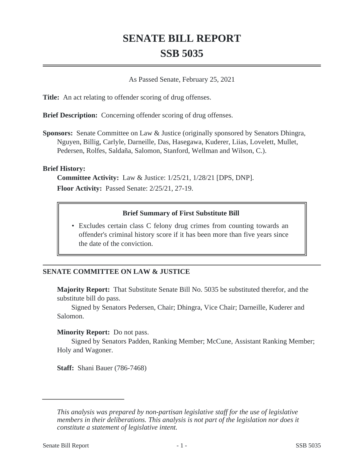# **SENATE BILL REPORT SSB 5035**

As Passed Senate, February 25, 2021

**Title:** An act relating to offender scoring of drug offenses.

**Brief Description:** Concerning offender scoring of drug offenses.

**Sponsors:** Senate Committee on Law & Justice (originally sponsored by Senators Dhingra, Nguyen, Billig, Carlyle, Darneille, Das, Hasegawa, Kuderer, Liias, Lovelett, Mullet, Pedersen, Rolfes, Saldaña, Salomon, Stanford, Wellman and Wilson, C.).

### **Brief History:**

**Committee Activity:** Law & Justice: 1/25/21, 1/28/21 [DPS, DNP]. **Floor Activity:** Passed Senate: 2/25/21, 27-19.

## **Brief Summary of First Substitute Bill**

• Excludes certain class C felony drug crimes from counting towards an offender's criminal history score if it has been more than five years since the date of the conviction.

## **SENATE COMMITTEE ON LAW & JUSTICE**

**Majority Report:** That Substitute Senate Bill No. 5035 be substituted therefor, and the substitute bill do pass.

Signed by Senators Pedersen, Chair; Dhingra, Vice Chair; Darneille, Kuderer and Salomon.

## **Minority Report:** Do not pass.

Signed by Senators Padden, Ranking Member; McCune, Assistant Ranking Member; Holy and Wagoner.

**Staff:** Shani Bauer (786-7468)

*This analysis was prepared by non-partisan legislative staff for the use of legislative members in their deliberations. This analysis is not part of the legislation nor does it constitute a statement of legislative intent.*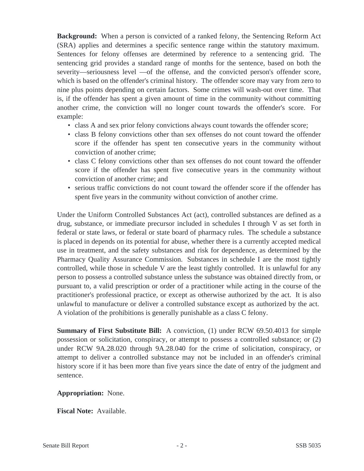**Background:** When a person is convicted of a ranked felony, the Sentencing Reform Act (SRA) applies and determines a specific sentence range within the statutory maximum. Sentences for felony offenses are determined by reference to a sentencing grid. The sentencing grid provides a standard range of months for the sentence, based on both the severity—seriousness level —of the offense, and the convicted person's offender score, which is based on the offender's criminal history. The offender score may vary from zero to nine plus points depending on certain factors. Some crimes will wash-out over time. That is, if the offender has spent a given amount of time in the community without committing another crime, the conviction will no longer count towards the offender's score. For example:

- class A and sex prior felony convictions always count towards the offender score;
- class B felony convictions other than sex offenses do not count toward the offender score if the offender has spent ten consecutive years in the community without conviction of another crime;
- class C felony convictions other than sex offenses do not count toward the offender score if the offender has spent five consecutive years in the community without conviction of another crime; and
- serious traffic convictions do not count toward the offender score if the offender has spent five years in the community without conviction of another crime.

Under the Uniform Controlled Substances Act (act), controlled substances are defined as a drug, substance, or immediate precursor included in schedules I through V as set forth in federal or state laws, or federal or state board of pharmacy rules. The schedule a substance is placed in depends on its potential for abuse, whether there is a currently accepted medical use in treatment, and the safety substances and risk for dependence, as determined by the Pharmacy Quality Assurance Commission. Substances in schedule I are the most tightly controlled, while those in schedule V are the least tightly controlled. It is unlawful for any person to possess a controlled substance unless the substance was obtained directly from, or pursuant to, a valid prescription or order of a practitioner while acting in the course of the practitioner's professional practice, or except as otherwise authorized by the act. It is also unlawful to manufacture or deliver a controlled substance except as authorized by the act. A violation of the prohibitions is generally punishable as a class C felony.

**Summary of First Substitute Bill:** A conviction, (1) under RCW 69.50.4013 for simple possession or solicitation, conspiracy, or attempt to possess a controlled substance; or (2) under RCW 9A.28.020 through 9A.28.040 for the crime of solicitation, conspiracy, or attempt to deliver a controlled substance may not be included in an offender's criminal history score if it has been more than five years since the date of entry of the judgment and sentence.

#### **Appropriation:** None.

**Fiscal Note:** Available.